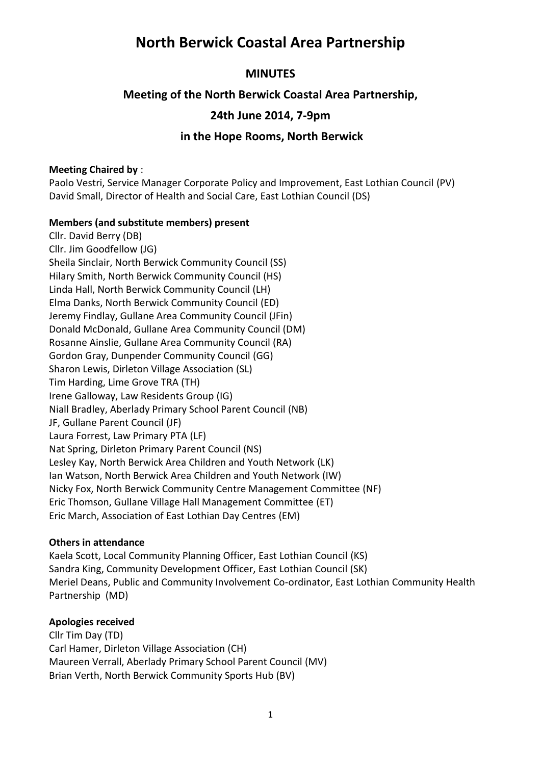## **North Berwick Coastal Area Partnership**

## **MINUTES**

## **Meeting of the North Berwick Coastal Area Partnership,**

## **24th June 2014, 7-9pm**

## **in the Hope Rooms, North Berwick**

### **Meeting Chaired by** :

Paolo Vestri, Service Manager Corporate Policy and Improvement, East Lothian Council (PV) David Small, Director of Health and Social Care, East Lothian Council (DS)

### **Members (and substitute members) present**

Cllr. David Berry (DB) Cllr. Jim Goodfellow (JG) Sheila Sinclair, North Berwick Community Council (SS) Hilary Smith, North Berwick Community Council (HS) Linda Hall, North Berwick Community Council (LH) Elma Danks, North Berwick Community Council (ED) Jeremy Findlay, Gullane Area Community Council (JFin) Donald McDonald, Gullane Area Community Council (DM) Rosanne Ainslie, Gullane Area Community Council (RA) Gordon Gray, Dunpender Community Council (GG) Sharon Lewis, Dirleton Village Association (SL) Tim Harding, Lime Grove TRA (TH) Irene Galloway, Law Residents Group (IG) Niall Bradley, Aberlady Primary School Parent Council (NB) JF, Gullane Parent Council (JF) Laura Forrest, Law Primary PTA (LF) Nat Spring, Dirleton Primary Parent Council (NS) Lesley Kay, North Berwick Area Children and Youth Network (LK) Ian Watson, North Berwick Area Children and Youth Network (IW) Nicky Fox, North Berwick Community Centre Management Committee (NF) Eric Thomson, Gullane Village Hall Management Committee (ET) Eric March, Association of East Lothian Day Centres (EM)

### **Others in attendance**

Kaela Scott, Local Community Planning Officer, East Lothian Council (KS) Sandra King, Community Development Officer, East Lothian Council (SK) Meriel Deans, Public and Community Involvement Co-ordinator, East Lothian Community Health Partnership (MD)

## **Apologies received**

Cllr Tim Day (TD) Carl Hamer, Dirleton Village Association (CH) Maureen Verrall, Aberlady Primary School Parent Council (MV) Brian Verth, North Berwick Community Sports Hub (BV)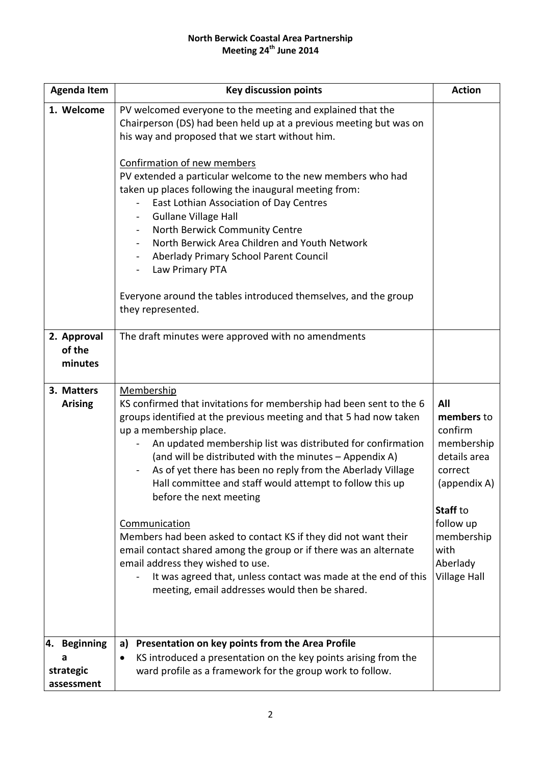### **North Berwick Coastal Area Partnership Meeting 24th June 2014**

| <b>Agenda Item</b>                           | <b>Key discussion points</b>                                                                                                                                                                                                                                                                                                                                                                                                                                                                                                                                                                                                                                                                                                                                                        | <b>Action</b>                                                                                                                                                           |
|----------------------------------------------|-------------------------------------------------------------------------------------------------------------------------------------------------------------------------------------------------------------------------------------------------------------------------------------------------------------------------------------------------------------------------------------------------------------------------------------------------------------------------------------------------------------------------------------------------------------------------------------------------------------------------------------------------------------------------------------------------------------------------------------------------------------------------------------|-------------------------------------------------------------------------------------------------------------------------------------------------------------------------|
| 1. Welcome                                   | PV welcomed everyone to the meeting and explained that the<br>Chairperson (DS) had been held up at a previous meeting but was on<br>his way and proposed that we start without him.<br>Confirmation of new members<br>PV extended a particular welcome to the new members who had<br>taken up places following the inaugural meeting from:<br>East Lothian Association of Day Centres<br><b>Gullane Village Hall</b><br>North Berwick Community Centre<br>North Berwick Area Children and Youth Network<br>Aberlady Primary School Parent Council<br>Law Primary PTA<br>$\overline{\phantom{a}}$<br>Everyone around the tables introduced themselves, and the group<br>they represented.                                                                                            |                                                                                                                                                                         |
| 2. Approval<br>of the<br>minutes             | The draft minutes were approved with no amendments                                                                                                                                                                                                                                                                                                                                                                                                                                                                                                                                                                                                                                                                                                                                  |                                                                                                                                                                         |
| 3. Matters<br><b>Arising</b>                 | Membership<br>KS confirmed that invitations for membership had been sent to the 6<br>groups identified at the previous meeting and that 5 had now taken<br>up a membership place.<br>An updated membership list was distributed for confirmation<br>(and will be distributed with the minutes - Appendix A)<br>As of yet there has been no reply from the Aberlady Village<br>Hall committee and staff would attempt to follow this up<br>before the next meeting<br>Communication<br>Members had been asked to contact KS if they did not want their<br>email contact shared among the group or if there was an alternate<br>email address they wished to use.<br>It was agreed that, unless contact was made at the end of this<br>meeting, email addresses would then be shared. | All<br>members to<br>confirm<br>membership<br>details area<br>correct<br>(appendix A)<br>Staff to<br>follow up<br>membership<br>with<br>Aberlady<br><b>Village Hall</b> |
| 4. Beginning<br>a<br>strategic<br>assessment | Presentation on key points from the Area Profile<br>a)<br>KS introduced a presentation on the key points arising from the<br>٠<br>ward profile as a framework for the group work to follow.                                                                                                                                                                                                                                                                                                                                                                                                                                                                                                                                                                                         |                                                                                                                                                                         |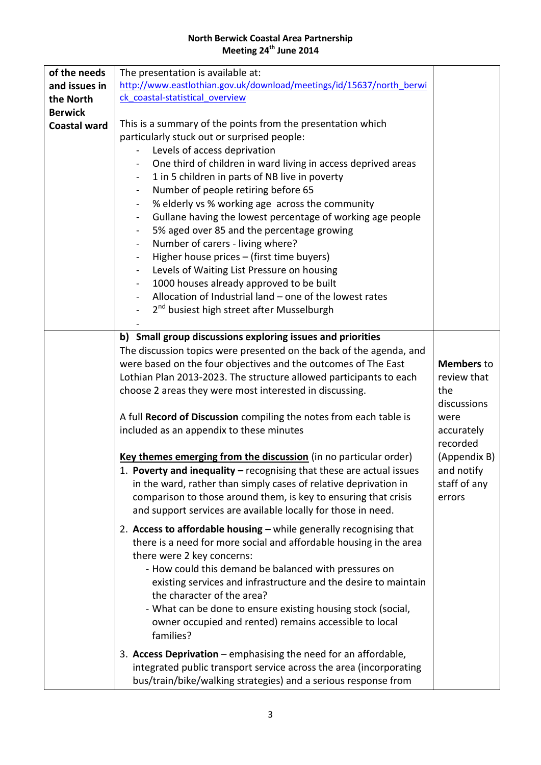### **North Berwick Coastal Area Partnership Meeting 24th June 2014**

| of the needs        | The presentation is available at:                                                                                                                                                                                                                                                                                                                                                                                                                                                                                                                                                                                                                                                                                                                                                                                                                                                                                                                                                        |                                                                                                                                                  |
|---------------------|------------------------------------------------------------------------------------------------------------------------------------------------------------------------------------------------------------------------------------------------------------------------------------------------------------------------------------------------------------------------------------------------------------------------------------------------------------------------------------------------------------------------------------------------------------------------------------------------------------------------------------------------------------------------------------------------------------------------------------------------------------------------------------------------------------------------------------------------------------------------------------------------------------------------------------------------------------------------------------------|--------------------------------------------------------------------------------------------------------------------------------------------------|
| and issues in       | http://www.eastlothian.gov.uk/download/meetings/id/15637/north berwi                                                                                                                                                                                                                                                                                                                                                                                                                                                                                                                                                                                                                                                                                                                                                                                                                                                                                                                     |                                                                                                                                                  |
| the North           | ck coastal-statistical overview                                                                                                                                                                                                                                                                                                                                                                                                                                                                                                                                                                                                                                                                                                                                                                                                                                                                                                                                                          |                                                                                                                                                  |
| <b>Berwick</b>      |                                                                                                                                                                                                                                                                                                                                                                                                                                                                                                                                                                                                                                                                                                                                                                                                                                                                                                                                                                                          |                                                                                                                                                  |
| <b>Coastal ward</b> | This is a summary of the points from the presentation which<br>particularly stuck out or surprised people:<br>Levels of access deprivation<br>One third of children in ward living in access deprived areas<br>$\qquad \qquad \blacksquare$<br>1 in 5 children in parts of NB live in poverty<br>$\blacksquare$<br>Number of people retiring before 65<br>$\qquad \qquad \blacksquare$<br>% elderly vs % working age across the community<br>$\qquad \qquad \blacksquare$<br>Gullane having the lowest percentage of working age people<br>$\blacksquare$<br>5% aged over 85 and the percentage growing<br>$\blacksquare$<br>Number of carers - living where?<br>Higher house prices - (first time buyers)<br>$\qquad \qquad \blacksquare$<br>Levels of Waiting List Pressure on housing<br>1000 houses already approved to be built<br>$\qquad \qquad \blacksquare$<br>Allocation of Industrial land - one of the lowest rates<br>2 <sup>nd</sup> busiest high street after Musselburgh |                                                                                                                                                  |
|                     |                                                                                                                                                                                                                                                                                                                                                                                                                                                                                                                                                                                                                                                                                                                                                                                                                                                                                                                                                                                          |                                                                                                                                                  |
|                     | b) Small group discussions exploring issues and priorities<br>The discussion topics were presented on the back of the agenda, and<br>were based on the four objectives and the outcomes of The East<br>Lothian Plan 2013-2023. The structure allowed participants to each<br>choose 2 areas they were most interested in discussing.<br>A full Record of Discussion compiling the notes from each table is<br>included as an appendix to these minutes<br>Key themes emerging from the discussion (in no particular order)<br>1. Poverty and inequality – recognising that these are actual issues<br>in the ward, rather than simply cases of relative deprivation in<br>comparison to those around them, is key to ensuring that crisis<br>and support services are available locally for those in need.                                                                                                                                                                               | <b>Members to</b><br>review that<br>the<br>discussions<br>were<br>accurately<br>recorded<br>(Appendix B)<br>and notify<br>staff of any<br>errors |
|                     | 2. Access to affordable housing - while generally recognising that<br>there is a need for more social and affordable housing in the area<br>there were 2 key concerns:<br>- How could this demand be balanced with pressures on<br>existing services and infrastructure and the desire to maintain<br>the character of the area?<br>- What can be done to ensure existing housing stock (social,<br>owner occupied and rented) remains accessible to local<br>families?<br>3. Access Deprivation – emphasising the need for an affordable,                                                                                                                                                                                                                                                                                                                                                                                                                                               |                                                                                                                                                  |
|                     | integrated public transport service across the area (incorporating<br>bus/train/bike/walking strategies) and a serious response from                                                                                                                                                                                                                                                                                                                                                                                                                                                                                                                                                                                                                                                                                                                                                                                                                                                     |                                                                                                                                                  |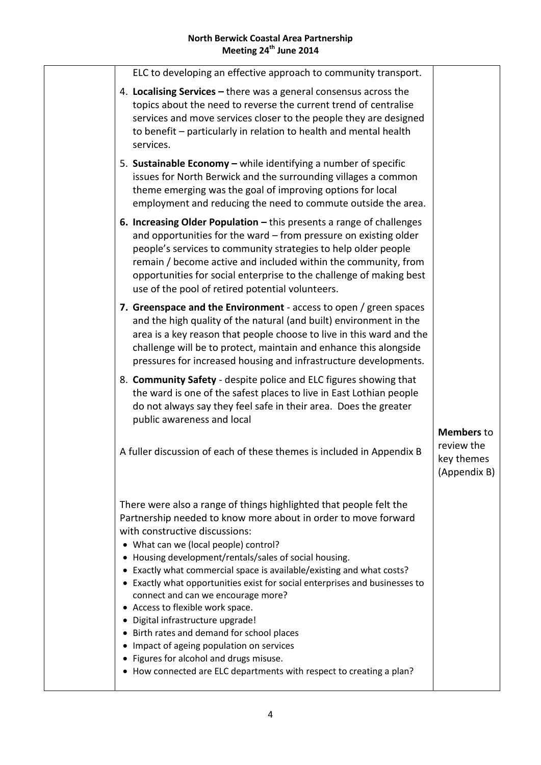| ELC to developing an effective approach to community transport.                                                                                                                                                                                                                                                                                                                                                                                                                                                                                                                                                                                                                                                                                                |                                          |
|----------------------------------------------------------------------------------------------------------------------------------------------------------------------------------------------------------------------------------------------------------------------------------------------------------------------------------------------------------------------------------------------------------------------------------------------------------------------------------------------------------------------------------------------------------------------------------------------------------------------------------------------------------------------------------------------------------------------------------------------------------------|------------------------------------------|
| 4. Localising Services - there was a general consensus across the<br>topics about the need to reverse the current trend of centralise<br>services and move services closer to the people they are designed<br>to benefit - particularly in relation to health and mental health<br>services.                                                                                                                                                                                                                                                                                                                                                                                                                                                                   |                                          |
| 5. Sustainable Economy - while identifying a number of specific<br>issues for North Berwick and the surrounding villages a common<br>theme emerging was the goal of improving options for local<br>employment and reducing the need to commute outside the area.                                                                                                                                                                                                                                                                                                                                                                                                                                                                                               |                                          |
| 6. Increasing Older Population - this presents a range of challenges<br>and opportunities for the ward - from pressure on existing older<br>people's services to community strategies to help older people<br>remain / become active and included within the community, from<br>opportunities for social enterprise to the challenge of making best<br>use of the pool of retired potential volunteers.                                                                                                                                                                                                                                                                                                                                                        |                                          |
| 7. Greenspace and the Environment - access to open / green spaces<br>and the high quality of the natural (and built) environment in the<br>area is a key reason that people choose to live in this ward and the<br>challenge will be to protect, maintain and enhance this alongside<br>pressures for increased housing and infrastructure developments.                                                                                                                                                                                                                                                                                                                                                                                                       |                                          |
| 8. Community Safety - despite police and ELC figures showing that<br>the ward is one of the safest places to live in East Lothian people<br>do not always say they feel safe in their area. Does the greater<br>public awareness and local                                                                                                                                                                                                                                                                                                                                                                                                                                                                                                                     | <b>Members</b> to                        |
| A fuller discussion of each of these themes is included in Appendix B                                                                                                                                                                                                                                                                                                                                                                                                                                                                                                                                                                                                                                                                                          | review the<br>key themes<br>(Appendix B) |
| There were also a range of things highlighted that people felt the<br>Partnership needed to know more about in order to move forward<br>with constructive discussions:<br>• What can we (local people) control?<br>• Housing development/rentals/sales of social housing.<br>• Exactly what commercial space is available/existing and what costs?<br>• Exactly what opportunities exist for social enterprises and businesses to<br>connect and can we encourage more?<br>• Access to flexible work space.<br>· Digital infrastructure upgrade!<br>• Birth rates and demand for school places<br>• Impact of ageing population on services<br>• Figures for alcohol and drugs misuse.<br>• How connected are ELC departments with respect to creating a plan? |                                          |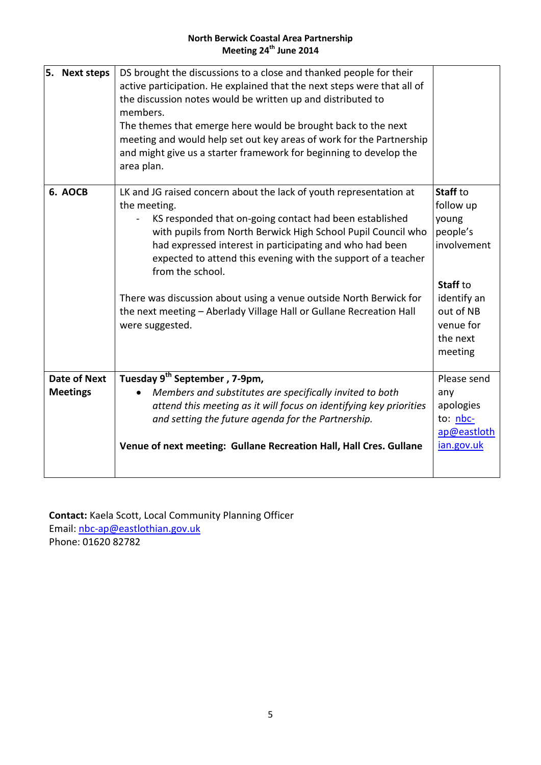### **North Berwick Coastal Area Partnership Meeting 24th June 2014**

| DS brought the discussions to a close and thanked people for their<br>active participation. He explained that the next steps were that all of<br>the discussion notes would be written up and distributed to<br>members.<br>The themes that emerge here would be brought back to the next<br>meeting and would help set out key areas of work for the Partnership<br>and might give us a starter framework for beginning to develop the<br>area plan.                                                                          |                                                                                                                                       |
|--------------------------------------------------------------------------------------------------------------------------------------------------------------------------------------------------------------------------------------------------------------------------------------------------------------------------------------------------------------------------------------------------------------------------------------------------------------------------------------------------------------------------------|---------------------------------------------------------------------------------------------------------------------------------------|
| LK and JG raised concern about the lack of youth representation at<br>the meeting.<br>KS responded that on-going contact had been established<br>with pupils from North Berwick High School Pupil Council who<br>had expressed interest in participating and who had been<br>expected to attend this evening with the support of a teacher<br>from the school.<br>There was discussion about using a venue outside North Berwick for<br>the next meeting - Aberlady Village Hall or Gullane Recreation Hall<br>were suggested. | Staff to<br>follow up<br>young<br>people's<br>involvement<br>Staff to<br>identify an<br>out of NB<br>venue for<br>the next<br>meeting |
| Tuesday 9 <sup>th</sup> September, 7-9pm,<br>Members and substitutes are specifically invited to both<br>attend this meeting as it will focus on identifying key priorities<br>and setting the future agenda for the Partnership.<br>Venue of next meeting: Gullane Recreation Hall, Hall Cres. Gullane                                                                                                                                                                                                                        | Please send<br>any<br>apologies<br>to: <u>nbc-</u><br>ap@eastloth<br>ian.gov.uk                                                       |
|                                                                                                                                                                                                                                                                                                                                                                                                                                                                                                                                |                                                                                                                                       |

**Contact:** Kaela Scott, Local Community Planning Officer Email: [nbc-ap@eastlothian.gov.uk](mailto:nbc-ap@eastlothian.gov.uk) Phone: 01620 82782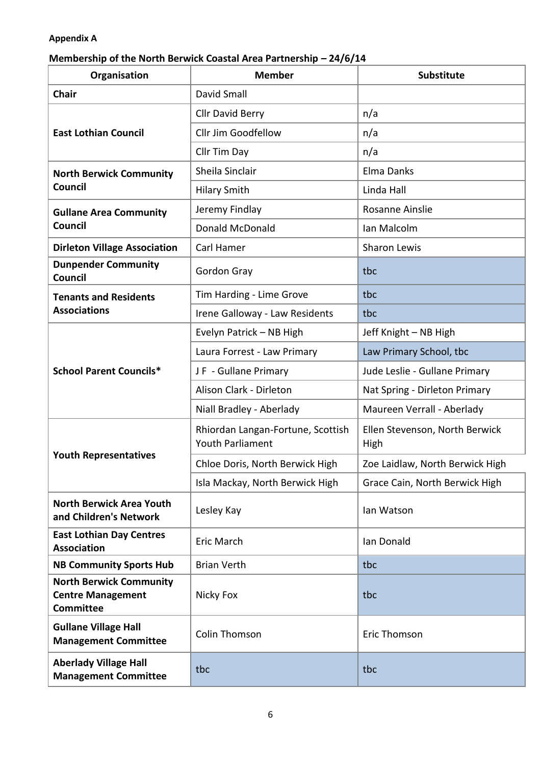## **Appendix A**

## **Membership of the North Berwick Coastal Area Partnership - 24/6/14**

| Organisation                                                                   | <b>Member</b>                                                | <b>Substitute</b>                      |
|--------------------------------------------------------------------------------|--------------------------------------------------------------|----------------------------------------|
| <b>Chair</b>                                                                   | David Small                                                  |                                        |
|                                                                                | <b>Cllr David Berry</b>                                      | n/a                                    |
| <b>East Lothian Council</b>                                                    | Cllr Jim Goodfellow                                          | n/a                                    |
|                                                                                | Cllr Tim Day                                                 | n/a                                    |
| <b>North Berwick Community</b>                                                 | Sheila Sinclair                                              | Elma Danks                             |
| Council                                                                        | <b>Hilary Smith</b>                                          | Linda Hall                             |
| <b>Gullane Area Community</b>                                                  | Jeremy Findlay                                               | Rosanne Ainslie                        |
| Council                                                                        | <b>Donald McDonald</b>                                       | Ian Malcolm                            |
| <b>Dirleton Village Association</b>                                            | Carl Hamer                                                   | <b>Sharon Lewis</b>                    |
| <b>Dunpender Community</b><br><b>Council</b>                                   | Gordon Gray                                                  | tbc                                    |
| <b>Tenants and Residents</b>                                                   | Tim Harding - Lime Grove                                     | tbc                                    |
| <b>Associations</b>                                                            | Irene Galloway - Law Residents                               | tbc                                    |
|                                                                                | Evelyn Patrick - NB High                                     | Jeff Knight - NB High                  |
|                                                                                | Laura Forrest - Law Primary                                  | Law Primary School, tbc                |
| <b>School Parent Councils*</b>                                                 | JF - Gullane Primary                                         | Jude Leslie - Gullane Primary          |
|                                                                                | Alison Clark - Dirleton                                      | Nat Spring - Dirleton Primary          |
|                                                                                | Niall Bradley - Aberlady                                     | Maureen Verrall - Aberlady             |
|                                                                                | Rhiordan Langan-Fortune, Scottish<br><b>Youth Parliament</b> | Ellen Stevenson, North Berwick<br>High |
| <b>Youth Representatives</b>                                                   | Chloe Doris, North Berwick High                              | Zoe Laidlaw, North Berwick High        |
|                                                                                | Isla Mackay, North Berwick High                              | Grace Cain, North Berwick High         |
| <b>North Berwick Area Youth</b><br>and Children's Network                      | Lesley Kay                                                   | lan Watson                             |
| <b>East Lothian Day Centres</b><br><b>Association</b>                          | Eric March                                                   | Ian Donald                             |
| <b>NB Community Sports Hub</b>                                                 | <b>Brian Verth</b>                                           | tbc                                    |
| <b>North Berwick Community</b><br><b>Centre Management</b><br><b>Committee</b> | Nicky Fox                                                    | tbc                                    |
| <b>Gullane Village Hall</b><br><b>Management Committee</b>                     | <b>Colin Thomson</b>                                         | Eric Thomson                           |
| <b>Aberlady Village Hall</b><br><b>Management Committee</b>                    | tbc                                                          | tbc                                    |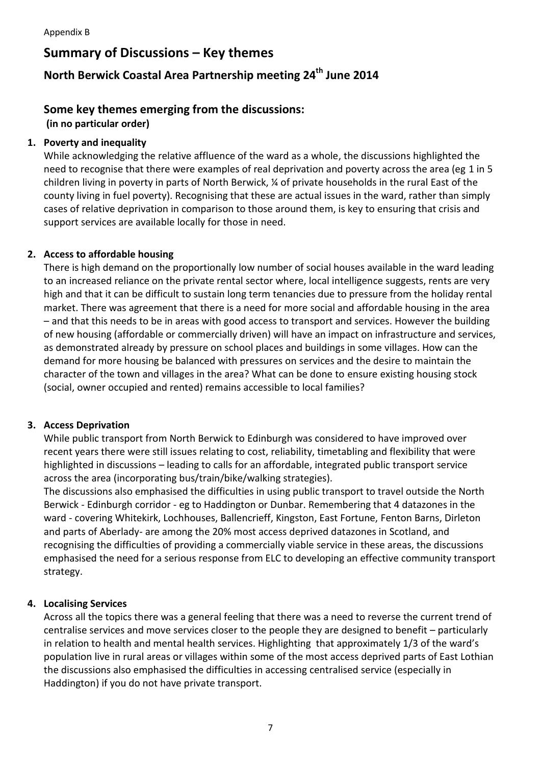## **Summary of Discussions – Key themes**

## **North Berwick Coastal Area Partnership meeting 24th June 2014**

## **Some key themes emerging from the discussions:**

### **(in no particular order)**

## **1. Poverty and inequality**

While acknowledging the relative affluence of the ward as a whole, the discussions highlighted the need to recognise that there were examples of real deprivation and poverty across the area (eg 1 in 5 children living in poverty in parts of North Berwick, ¼ of private households in the rural East of the county living in fuel poverty). Recognising that these are actual issues in the ward, rather than simply cases of relative deprivation in comparison to those around them, is key to ensuring that crisis and support services are available locally for those in need.

## **2. Access to affordable housing**

There is high demand on the proportionally low number of social houses available in the ward leading to an increased reliance on the private rental sector where, local intelligence suggests, rents are very high and that it can be difficult to sustain long term tenancies due to pressure from the holiday rental market. There was agreement that there is a need for more social and affordable housing in the area – and that this needs to be in areas with good access to transport and services. However the building of new housing (affordable or commercially driven) will have an impact on infrastructure and services, as demonstrated already by pressure on school places and buildings in some villages. How can the demand for more housing be balanced with pressures on services and the desire to maintain the character of the town and villages in the area? What can be done to ensure existing housing stock (social, owner occupied and rented) remains accessible to local families?

### **3. Access Deprivation**

While public transport from North Berwick to Edinburgh was considered to have improved over recent years there were still issues relating to cost, reliability, timetabling and flexibility that were highlighted in discussions – leading to calls for an affordable, integrated public transport service across the area (incorporating bus/train/bike/walking strategies).

The discussions also emphasised the difficulties in using public transport to travel outside the North Berwick - Edinburgh corridor - eg to Haddington or Dunbar. Remembering that 4 datazones in the ward - covering Whitekirk, Lochhouses, Ballencrieff, Kingston, East Fortune, Fenton Barns, Dirleton and parts of Aberlady- are among the 20% most access deprived datazones in Scotland, and recognising the difficulties of providing a commercially viable service in these areas, the discussions emphasised the need for a serious response from ELC to developing an effective community transport strategy.

## **4. Localising Services**

Across all the topics there was a general feeling that there was a need to reverse the current trend of centralise services and move services closer to the people they are designed to benefit – particularly in relation to health and mental health services. Highlighting that approximately 1/3 of the ward's population live in rural areas or villages within some of the most access deprived parts of East Lothian the discussions also emphasised the difficulties in accessing centralised service (especially in Haddington) if you do not have private transport.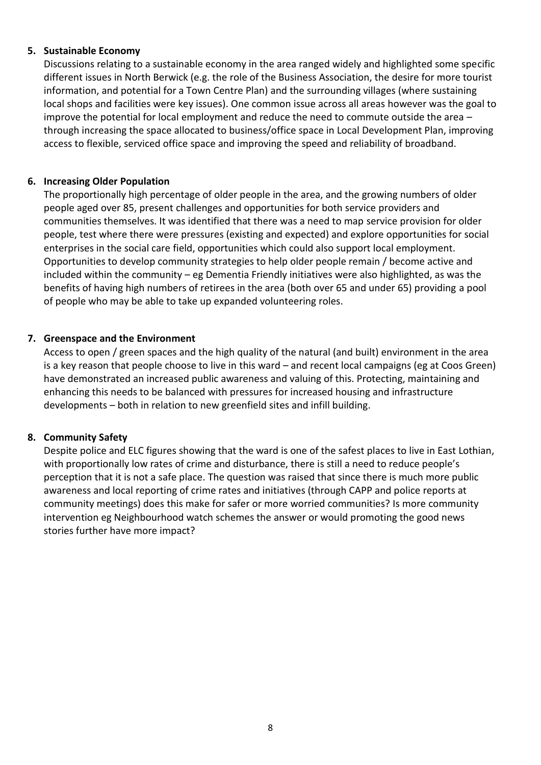### **5. Sustainable Economy**

Discussions relating to a sustainable economy in the area ranged widely and highlighted some specific different issues in North Berwick (e.g. the role of the Business Association, the desire for more tourist information, and potential for a Town Centre Plan) and the surrounding villages (where sustaining local shops and facilities were key issues). One common issue across all areas however was the goal to improve the potential for local employment and reduce the need to commute outside the area – through increasing the space allocated to business/office space in Local Development Plan, improving access to flexible, serviced office space and improving the speed and reliability of broadband.

### **6. Increasing Older Population**

The proportionally high percentage of older people in the area, and the growing numbers of older people aged over 85, present challenges and opportunities for both service providers and communities themselves. It was identified that there was a need to map service provision for older people, test where there were pressures (existing and expected) and explore opportunities for social enterprises in the social care field, opportunities which could also support local employment. Opportunities to develop community strategies to help older people remain / become active and included within the community – eg Dementia Friendly initiatives were also highlighted, as was the benefits of having high numbers of retirees in the area (both over 65 and under 65) providing a pool of people who may be able to take up expanded volunteering roles.

### **7. Greenspace and the Environment**

Access to open / green spaces and the high quality of the natural (and built) environment in the area is a key reason that people choose to live in this ward – and recent local campaigns (eg at Coos Green) have demonstrated an increased public awareness and valuing of this. Protecting, maintaining and enhancing this needs to be balanced with pressures for increased housing and infrastructure developments – both in relation to new greenfield sites and infill building.

### **8. Community Safety**

Despite police and ELC figures showing that the ward is one of the safest places to live in East Lothian, with proportionally low rates of crime and disturbance, there is still a need to reduce people's perception that it is not a safe place. The question was raised that since there is much more public awareness and local reporting of crime rates and initiatives (through CAPP and police reports at community meetings) does this make for safer or more worried communities? Is more community intervention eg Neighbourhood watch schemes the answer or would promoting the good news stories further have more impact?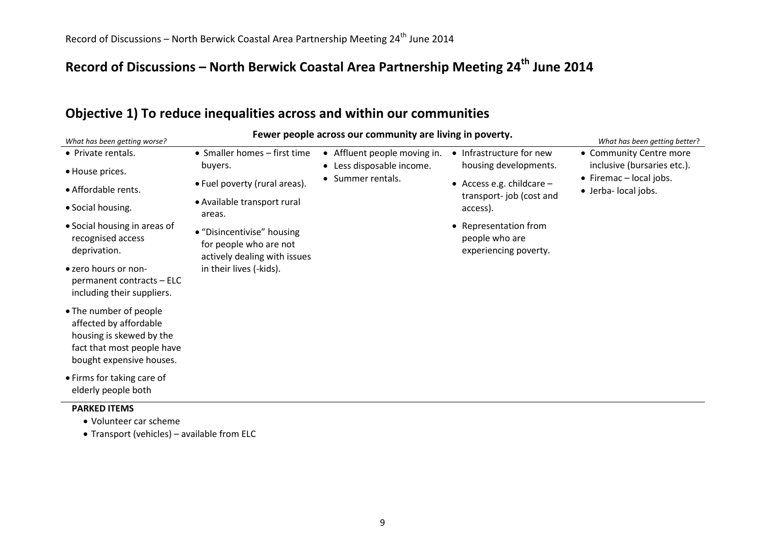# **Record of Discussions – North Berwick Coastal Area Partnership Meeting 24th June 2014**

## **Objective 1) To reduce inequalities across and within our communities**

| What has been getting worse?                                                                                                           |                                                                                      | Fewer people across our community are living in poverty.  |                                                                  | What has been getting better?                           |
|----------------------------------------------------------------------------------------------------------------------------------------|--------------------------------------------------------------------------------------|-----------------------------------------------------------|------------------------------------------------------------------|---------------------------------------------------------|
| • Private rentals.                                                                                                                     | • Smaller homes $-$ first time<br>buyers.                                            | • Affluent people moving in.<br>• Less disposable income. | • Infrastructure for new<br>housing developments.                | • Community Centre more<br>inclusive (bursaries etc.).  |
| • House prices.<br>• Affordable rents.                                                                                                 | • Fuel poverty (rural areas).<br>• Available transport rural                         | • Summer rentals.                                         | • Access e.g. childcare $-$<br>transport-job (cost and           | $\bullet$ Firemac – local jobs.<br>• Jerba- local jobs. |
| • Social housing.                                                                                                                      | areas.                                                                               |                                                           | access).                                                         |                                                         |
| • Social housing in areas of<br>recognised access<br>deprivation.                                                                      | • "Disincentivise" housing<br>for people who are not<br>actively dealing with issues |                                                           | • Representation from<br>people who are<br>experiencing poverty. |                                                         |
| • zero hours or non-<br>permanent contracts - ELC<br>including their suppliers.                                                        | in their lives (-kids).                                                              |                                                           |                                                                  |                                                         |
| • The number of people<br>affected by affordable<br>housing is skewed by the<br>fact that most people have<br>bought expensive houses. |                                                                                      |                                                           |                                                                  |                                                         |
| • Firms for taking care of<br>elderly people both                                                                                      |                                                                                      |                                                           |                                                                  |                                                         |
| <b>PARKED ITEMS</b><br>• Volunteer car scheme                                                                                          |                                                                                      |                                                           |                                                                  |                                                         |

Transport (vehicles) – available from ELC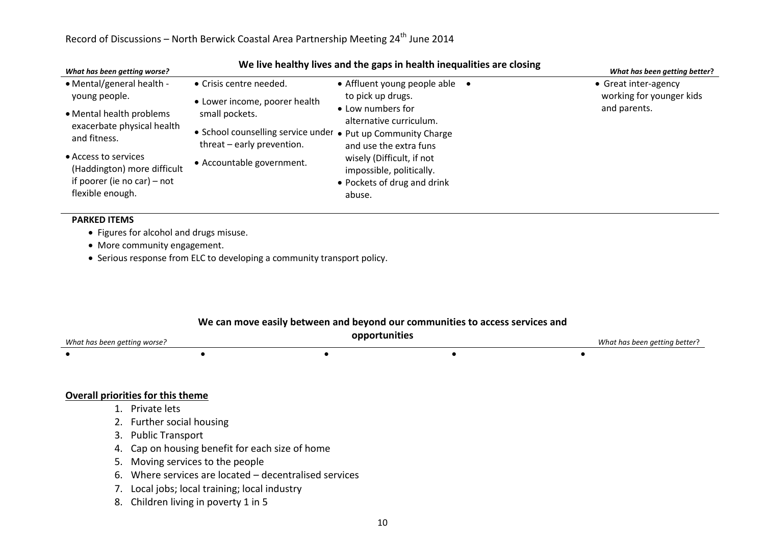| What has been getting worse?                        | We live nearthy lives and the gaps in nearth inequalities are closing                      | What has been getting better?                         |                          |
|-----------------------------------------------------|--------------------------------------------------------------------------------------------|-------------------------------------------------------|--------------------------|
| • Mental/general health -                           | • Crisis centre needed.                                                                    | • Affluent young people able                          | • Great inter-agency     |
| young people.                                       | • Lower income, poorer health                                                              | to pick up drugs.                                     | working for younger kids |
| • Mental health problems                            | small pockets.                                                                             | • Low numbers for<br>alternative curriculum.          | and parents.             |
| exacerbate physical health<br>and fitness.          | • School counselling service under • Put up Community Charge<br>threat - early prevention. | and use the extra funs                                |                          |
| • Access to services<br>(Haddington) more difficult | • Accountable government.                                                                  | wisely (Difficult, if not<br>impossible, politically. |                          |
| if poorer (ie no car) – not<br>flexible enough.     |                                                                                            | • Pockets of drug and drink<br>abuse.                 |                          |
|                                                     |                                                                                            |                                                       |                          |

### **We live healthy lives and the gaps in health inequalities are closing**

#### **PARKED ITEMS**

- Figures for alcohol and drugs misuse.
- More community engagement.
- Serious response from ELC to developing a community transport policy.

#### **We can move easily between and beyond our communities to access services and**

| What has been getting worse? | opportunities | What has been getting better? |
|------------------------------|---------------|-------------------------------|
|                              |               |                               |

### **Overall priorities for this theme**

- 1. Private lets
- 2. Further social housing
- 3. Public Transport
- 4. Cap on housing benefit for each size of home
- 5. Moving services to the people
- 6. Where services are located decentralised services
- 7. Local jobs; local training; local industry
- 8. Children living in poverty 1 in 5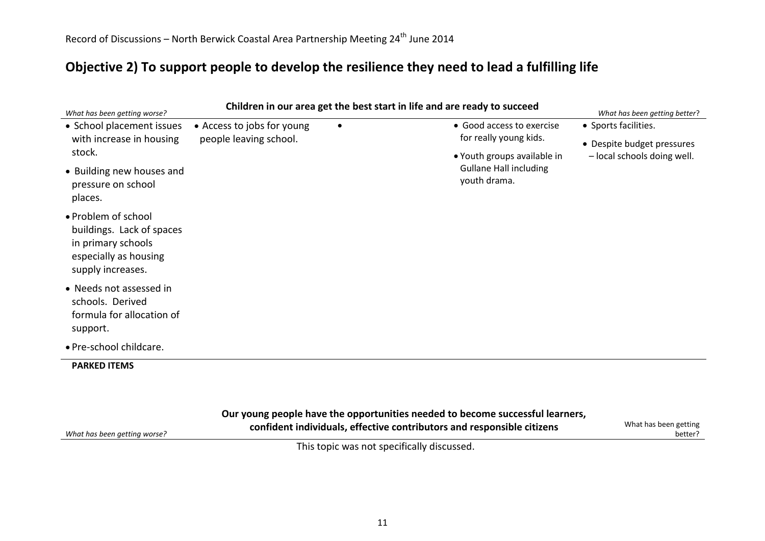*What has been getting worse?*

## **Objective 2) To support people to develop the resilience they need to lead a fulfilling life**

| What has been getting worse?                                                                                         |                            |           | Children in our area get the best start in life and are ready to succeed | What has been getting better?                             |
|----------------------------------------------------------------------------------------------------------------------|----------------------------|-----------|--------------------------------------------------------------------------|-----------------------------------------------------------|
| • School placement issues                                                                                            | • Access to jobs for young | $\bullet$ | • Good access to exercise                                                | • Sports facilities.                                      |
| with increase in housing<br>stock.                                                                                   | people leaving school.     |           | for really young kids.<br>• Youth groups available in                    | • Despite budget pressures<br>- local schools doing well. |
| • Building new houses and<br>pressure on school<br>places.                                                           |                            |           | <b>Gullane Hall including</b><br>youth drama.                            |                                                           |
| • Problem of school<br>buildings. Lack of spaces<br>in primary schools<br>especially as housing<br>supply increases. |                            |           |                                                                          |                                                           |
| • Needs not assessed in<br>schools. Derived<br>formula for allocation of<br>support.                                 |                            |           |                                                                          |                                                           |
| · Pre-school childcare.                                                                                              |                            |           |                                                                          |                                                           |
| <b>PARKED ITEMS</b>                                                                                                  |                            |           |                                                                          |                                                           |

**confident individuals, effective contributors and responsible citizens** What has been getting

better?

This topic was not specifically discussed.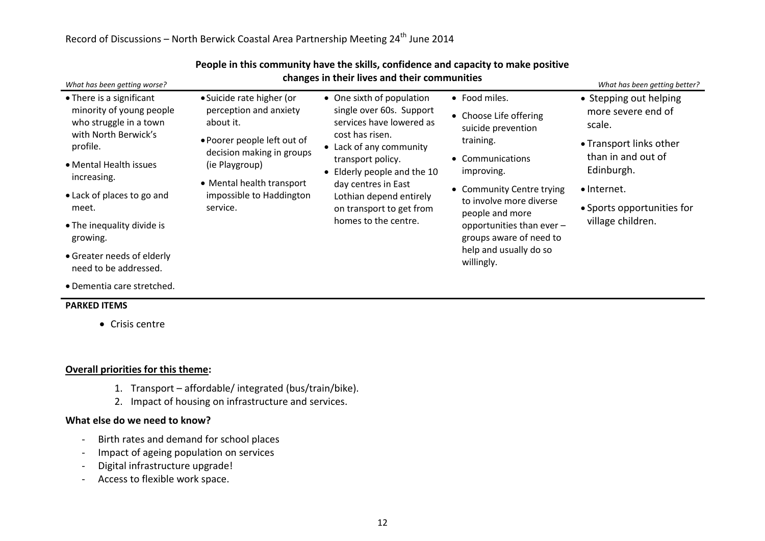| What has been getting worse?                                                                                                                                                                                                                                                                        | changes in their lives and their communities                                                                                                                                                                        |                                                                                                                                                                                                                                                                                           |                                                                                                                                                                                                                                                                                         | What has been getting better?                                                                                                                                                           |  |
|-----------------------------------------------------------------------------------------------------------------------------------------------------------------------------------------------------------------------------------------------------------------------------------------------------|---------------------------------------------------------------------------------------------------------------------------------------------------------------------------------------------------------------------|-------------------------------------------------------------------------------------------------------------------------------------------------------------------------------------------------------------------------------------------------------------------------------------------|-----------------------------------------------------------------------------------------------------------------------------------------------------------------------------------------------------------------------------------------------------------------------------------------|-----------------------------------------------------------------------------------------------------------------------------------------------------------------------------------------|--|
| • There is a significant<br>minority of young people<br>who struggle in a town<br>with North Berwick's<br>profile.<br>• Mental Health issues<br>increasing.<br>• Lack of places to go and<br>meet.<br>• The inequality divide is<br>growing.<br>• Greater needs of elderly<br>need to be addressed. | • Suicide rate higher (or<br>perception and anxiety<br>about it.<br>• Poorer people left out of<br>decision making in groups<br>(ie Playgroup)<br>• Mental health transport<br>impossible to Haddington<br>service. | • One sixth of population<br>single over 60s. Support<br>services have lowered as<br>cost has risen.<br>• Lack of any community<br>transport policy.<br>• Elderly people and the 10<br>day centres in East<br>Lothian depend entirely<br>on transport to get from<br>homes to the centre. | • Food miles.<br>• Choose Life offering<br>suicide prevention<br>training.<br>• Communications<br>improving.<br>• Community Centre trying<br>to involve more diverse<br>people and more<br>opportunities than ever -<br>groups aware of need to<br>help and usually do so<br>willingly. | • Stepping out helping<br>more severe end of<br>scale.<br>• Transport links other<br>than in and out of<br>Edinburgh.<br>• Internet.<br>• Sports opportunities for<br>village children. |  |

#### **People in this community have the skills, confidence and capacity to make positive changes in their lives and their communities**

Dementia care stretched.

#### **PARKED ITEMS**

• Crisis centre

### **Overall priorities for this theme:**

- 1. Transport affordable/ integrated (bus/train/bike).
- 2. Impact of housing on infrastructure and services.

#### **What else do we need to know?**

- Birth rates and demand for school places
- Impact of ageing population on services
- Digital infrastructure upgrade!
- Access to flexible work space.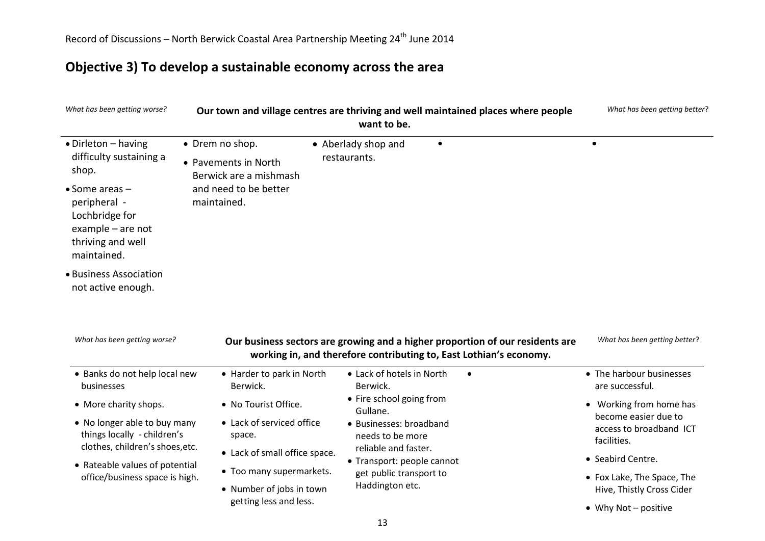## **Objective 3) To develop a sustainable economy across the area**

| What has been getting worse?                                                                                          |                                                                                                                              | want to be.                           | Our town and village centres are thriving and well maintained places where people                                                                   | What has been getting better?                           |
|-----------------------------------------------------------------------------------------------------------------------|------------------------------------------------------------------------------------------------------------------------------|---------------------------------------|-----------------------------------------------------------------------------------------------------------------------------------------------------|---------------------------------------------------------|
| • Dirleton - having                                                                                                   | • Drem no shop.                                                                                                              | • Aberlady shop and                   | $\bullet$                                                                                                                                           | $\bullet$                                               |
| difficulty sustaining a<br>shop.                                                                                      | • Pavements in North<br>Berwick are a mishmash                                                                               | restaurants.                          |                                                                                                                                                     |                                                         |
| $\bullet$ Some areas $-$<br>peripheral -<br>Lochbridge for<br>example $-$ are not<br>thriving and well<br>maintained. | and need to be better<br>maintained.                                                                                         |                                       |                                                                                                                                                     |                                                         |
| • Business Association<br>not active enough.<br>What has been getting worse?                                          |                                                                                                                              |                                       | Our business sectors are growing and a higher proportion of our residents are<br>working in, and therefore contributing to, East Lothian's economy. | What has been getting better?                           |
| • Banks do not help local new<br>businesses                                                                           | • Harder to park in North<br>Berwick.                                                                                        | • Lack of hotels in North<br>Berwick. | $\bullet$                                                                                                                                           | • The harbour businesses<br>are successful.             |
| • More charity shops.                                                                                                 | • No Tourist Office.                                                                                                         | • Fire school going from<br>Gullane.  |                                                                                                                                                     | • Working from home has                                 |
| • No longer able to buy many<br>things locally - children's<br>clothes, children's shoes, etc.                        | • Lack of serviced office<br>• Businesses: broadband<br>space.<br>needs to be more<br>reliable and faster.                   |                                       | become easier due to<br>access to broadband ICT<br>facilities.                                                                                      |                                                         |
| • Rateable values of potential                                                                                        | • Lack of small office space.                                                                                                | • Transport: people cannot            |                                                                                                                                                     | • Seabird Centre.                                       |
| office/business space is high.                                                                                        | • Too many supermarkets.<br>get public transport to<br>Haddington etc.<br>• Number of jobs in town<br>getting less and less. |                                       |                                                                                                                                                     | • Fox Lake, The Space, The<br>Hive, Thistly Cross Cider |
|                                                                                                                       |                                                                                                                              | • Why Not - positive                  |                                                                                                                                                     |                                                         |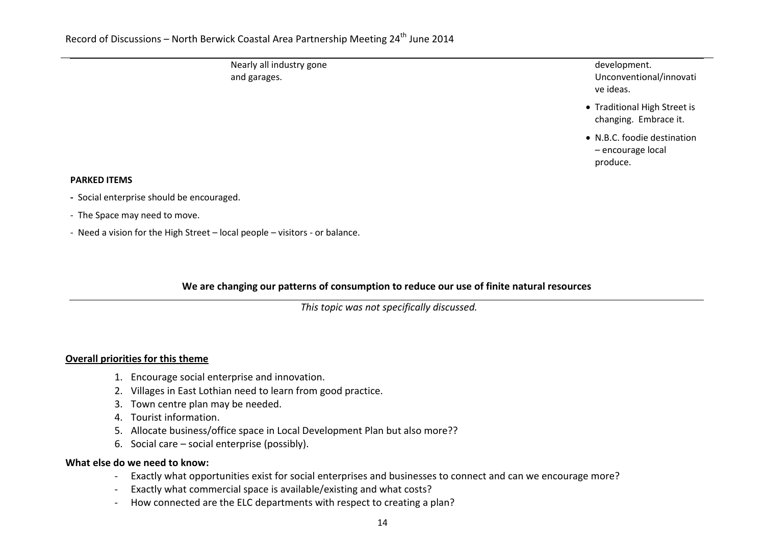Nearly all industry gone and garages.

development. Unconventional/innovati ve ideas.

- Traditional High Street is changing. Embrace it.
- N.B.C. foodie destination – encourage local produce.

#### **PARKED ITEMS**

- Social enterprise should be encouraged.
- The Space may need to move.
- Need a vision for the High Street local people visitors or balance.

## **We are changing our patterns of consumption to reduce our use of finite natural resources**

*This topic was not specifically discussed.*

### **Overall priorities for this theme**

- 1. Encourage social enterprise and innovation.
- 2. Villages in East Lothian need to learn from good practice.
- 3. Town centre plan may be needed.
- 4. Tourist information.
- 5. Allocate business/office space in Local Development Plan but also more??
- 6. Social care social enterprise (possibly).

### **What else do we need to know:**

- Exactly what opportunities exist for social enterprises and businesses to connect and can we encourage more?
- Exactly what commercial space is available/existing and what costs?
- How connected are the ELC departments with respect to creating a plan?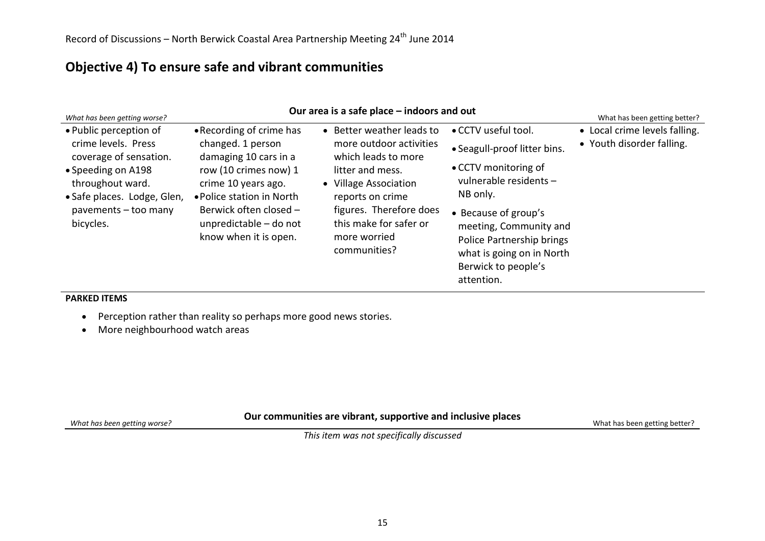## **Objective 4) To ensure safe and vibrant communities**

| What has been getting worse?                                     | Our area is a safe place – indoors and out                                                                                                             |                                                                                                                                                    |                                                                                                                                                                                               |                               |  |
|------------------------------------------------------------------|--------------------------------------------------------------------------------------------------------------------------------------------------------|----------------------------------------------------------------------------------------------------------------------------------------------------|-----------------------------------------------------------------------------------------------------------------------------------------------------------------------------------------------|-------------------------------|--|
| • Public perception of                                           | • Recording of crime has                                                                                                                               | • Better weather leads to                                                                                                                          | • CCTV useful tool.                                                                                                                                                                           | • Local crime levels falling. |  |
| crime levels. Press<br>coverage of sensation.                    | changed. 1 person<br>damaging 10 cars in a                                                                                                             | more outdoor activities<br>which leads to more                                                                                                     | • Seagull-proof litter bins.                                                                                                                                                                  | • Youth disorder falling.     |  |
| • Speeding on A198                                               | row (10 crimes now) 1<br>crime 10 years ago.<br>• Police station in North<br>Berwick often closed -<br>unpredictable - do not<br>know when it is open. | litter and mess.<br>• Village Association<br>reports on crime<br>figures. Therefore does<br>this make for safer or<br>more worried<br>communities? | • CCTV monitoring of<br>vulnerable residents -<br>NB only.<br>• Because of group's<br>meeting, Community and<br>Police Partnership brings<br>what is going on in North<br>Berwick to people's |                               |  |
| throughout ward.                                                 |                                                                                                                                                        |                                                                                                                                                    |                                                                                                                                                                                               |                               |  |
| · Safe places. Lodge, Glen,<br>pavements - too many<br>bicycles. |                                                                                                                                                        |                                                                                                                                                    |                                                                                                                                                                                               |                               |  |
|                                                                  |                                                                                                                                                        |                                                                                                                                                    |                                                                                                                                                                                               |                               |  |
|                                                                  |                                                                                                                                                        |                                                                                                                                                    |                                                                                                                                                                                               |                               |  |
|                                                                  |                                                                                                                                                        |                                                                                                                                                    |                                                                                                                                                                                               |                               |  |
|                                                                  |                                                                                                                                                        |                                                                                                                                                    |                                                                                                                                                                                               |                               |  |
|                                                                  |                                                                                                                                                        |                                                                                                                                                    | attention.                                                                                                                                                                                    |                               |  |

#### **PARKED ITEMS**

*What has been getting worse?*

- Perception rather than reality so perhaps more good news stories.
- More neighbourhood watch areas

### **Our communities are vibrant, supportive and inclusive places**

What has been getting better?

*This item was not specifically discussed*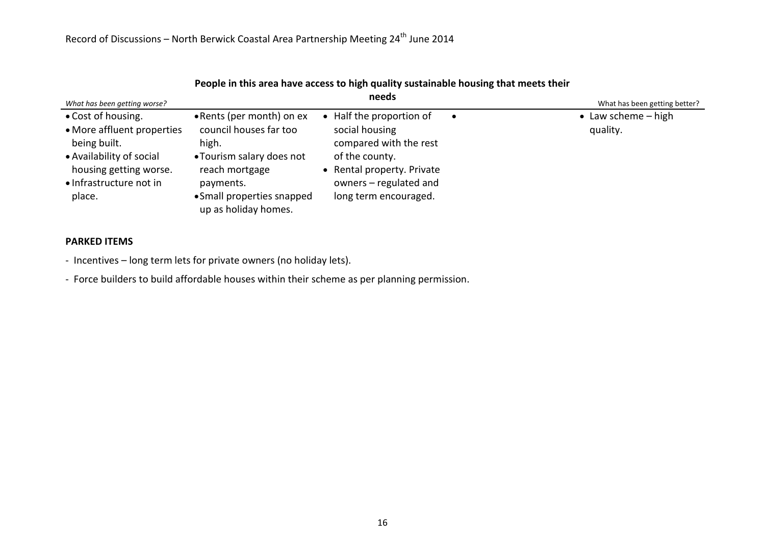| What has been getting worse?                                                                                                                                |                                                                                                                                                                                | needs                                                                                                                                                                   |           | What has been getting better?     |
|-------------------------------------------------------------------------------------------------------------------------------------------------------------|--------------------------------------------------------------------------------------------------------------------------------------------------------------------------------|-------------------------------------------------------------------------------------------------------------------------------------------------------------------------|-----------|-----------------------------------|
| • Cost of housing.<br>• More affluent properties<br>being built.<br>• Availability of social<br>housing getting worse.<br>• Infrastructure not in<br>place. | • Rents (per month) on ex<br>council houses far too<br>high.<br>• Tourism salary does not<br>reach mortgage<br>payments.<br>• Small properties snapped<br>up as holiday homes. | • Half the proportion of<br>social housing<br>compared with the rest<br>of the county.<br>• Rental property. Private<br>owners - regulated and<br>long term encouraged. | $\bullet$ | • Law scheme $-$ high<br>quality. |

### **People in this area have access to high quality sustainable housing that meets their**

### **PARKED ITEMS**

- Incentives – long term lets for private owners (no holiday lets).

- Force builders to build affordable houses within their scheme as per planning permission.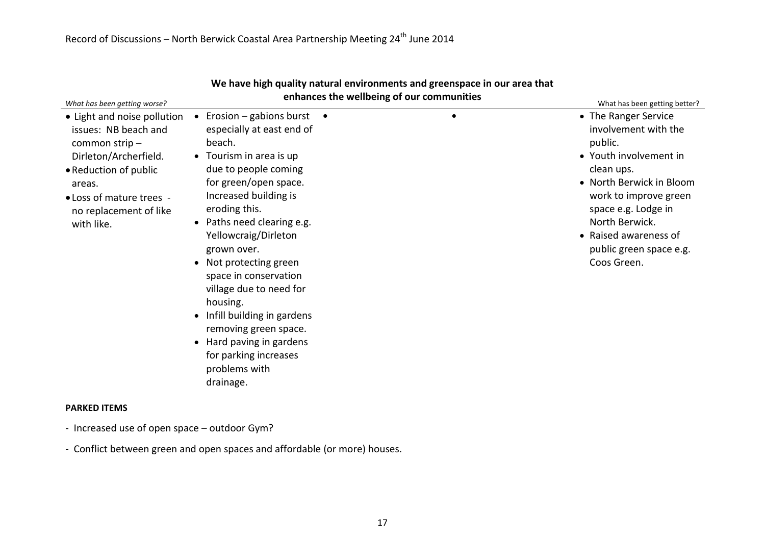| What has been getting worse?                                                                                                                                                                         |                                                                                                                                                                                                                                                                                                                                                                                                                                                                                                      | enhances the wellbeing of our communities | What has been getting better?                                                                                                                                                                                                                                    |
|------------------------------------------------------------------------------------------------------------------------------------------------------------------------------------------------------|------------------------------------------------------------------------------------------------------------------------------------------------------------------------------------------------------------------------------------------------------------------------------------------------------------------------------------------------------------------------------------------------------------------------------------------------------------------------------------------------------|-------------------------------------------|------------------------------------------------------------------------------------------------------------------------------------------------------------------------------------------------------------------------------------------------------------------|
| • Light and noise pollution<br>issues: NB beach and<br>common strip-<br>Dirleton/Archerfield.<br>• Reduction of public<br>areas.<br>• Loss of mature trees -<br>no replacement of like<br>with like. | Erosion – gabions burst<br>especially at east end of<br>beach.<br>• Tourism in area is up<br>due to people coming<br>for green/open space.<br>Increased building is<br>eroding this.<br>Paths need clearing e.g.<br>Yellowcraig/Dirleton<br>grown over.<br>Not protecting green<br>$\bullet$<br>space in conservation<br>village due to need for<br>housing.<br>Infill building in gardens<br>removing green space.<br>Hard paving in gardens<br>for parking increases<br>problems with<br>drainage. |                                           | • The Ranger Service<br>involvement with the<br>public.<br>• Youth involvement in<br>clean ups.<br>• North Berwick in Bloom<br>work to improve green<br>space e.g. Lodge in<br>North Berwick.<br>• Raised awareness of<br>public green space e.g.<br>Coos Green. |
| <b>PARKED ITEMS</b>                                                                                                                                                                                  |                                                                                                                                                                                                                                                                                                                                                                                                                                                                                                      |                                           |                                                                                                                                                                                                                                                                  |

# **We have high quality natural environments and greenspace in our area that**

- Increased use of open space outdoor Gym?
- Conflict between green and open spaces and affordable (or more) houses.